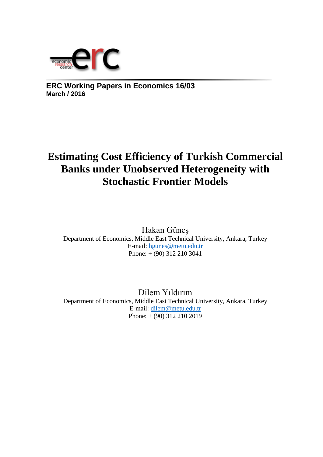

**ERC Working Papers in Economics 16/03 March / 2016**

# **Estimating Cost Efficiency of Turkish Commercial Banks under Unobserved Heterogeneity with Stochastic Frontier Models**

Hakan Güneş Department of Economics, Middle East Technical University, Ankara, Turkey E-mail: [hgunes@metu.edu.tr](mailto:hgunes@metu.edu.tr)  Phone:  $+(90)$  312 210 3041

Dilem Yıldırım Department of Economics, Middle East Technical University, Ankara, Turkey E-mail: [dilem@metu.edu.tr](mailto:dilem@metu.edu.tr)  Phone: + (90) 312 210 2019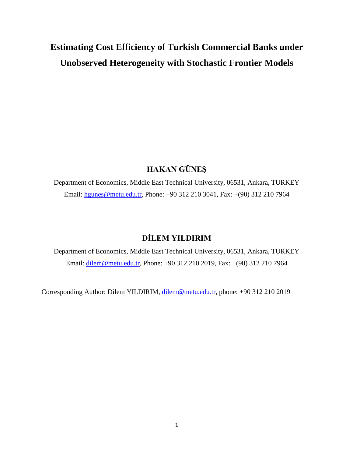# **Estimating Cost Efficiency of Turkish Commercial Banks under Unobserved Heterogeneity with Stochastic Frontier Models**

### **HAKAN GÜNEŞ**

Department of Economics, Middle East Technical University, 06531, Ankara, TURKEY Email: [hgunes@metu.edu.tr,](mailto:hgunes@metu.edu.tr) Phone: +90 312 210 3041, Fax: +(90) 312 210 7964

### **DİLEM YILDIRIM**

Department of Economics, Middle East Technical University, 06531, Ankara, TURKEY Email: [dilem@metu.edu.tr,](mailto:dilem@metu.edu.tr) Phone: +90 312 210 2019, Fax: +(90) 312 210 7964

Corresponding Author: Dilem YILDIRIM, [dilem@metu.edu.tr,](mailto:dilem@metu.edu.tr) phone: +90 312 210 2019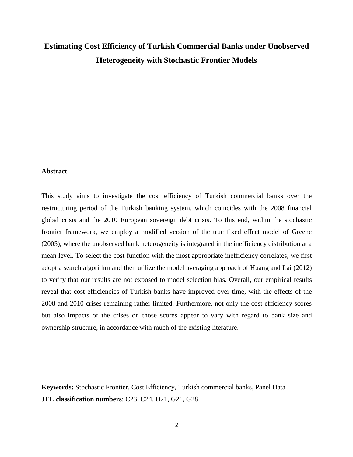## **Estimating Cost Efficiency of Turkish Commercial Banks under Unobserved Heterogeneity with Stochastic Frontier Models**

#### **Abstract**

This study aims to investigate the cost efficiency of Turkish commercial banks over the restructuring period of the Turkish banking system, which coincides with the 2008 financial global crisis and the 2010 European sovereign debt crisis. To this end, within the stochastic frontier framework, we employ a modified version of the true fixed effect model of Greene (2005), where the unobserved bank heterogeneity is integrated in the inefficiency distribution at a mean level. To select the cost function with the most appropriate inefficiency correlates, we first adopt a search algorithm and then utilize the model averaging approach of Huang and Lai (2012) to verify that our results are not exposed to model selection bias. Overall, our empirical results reveal that cost efficiencies of Turkish banks have improved over time, with the effects of the 2008 and 2010 crises remaining rather limited. Furthermore, not only the cost efficiency scores but also impacts of the crises on those scores appear to vary with regard to bank size and ownership structure, in accordance with much of the existing literature.

**Keywords:** Stochastic Frontier, Cost Efficiency, Turkish commercial banks, Panel Data **JEL classification numbers**: C23, C24, D21, G21, G28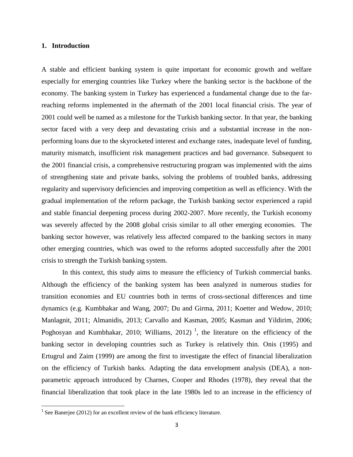#### **1. Introduction**

A stable and efficient banking system is quite important for economic growth and welfare especially for emerging countries like Turkey where the banking sector is the backbone of the economy. The banking system in Turkey has experienced a fundamental change due to the farreaching reforms implemented in the aftermath of the 2001 local financial crisis. The year of 2001 could well be named as a milestone for the Turkish banking sector. In that year, the banking sector faced with a very deep and devastating crisis and a substantial increase in the nonperforming loans due to the skyrocketed interest and exchange rates, inadequate level of funding, maturity mismatch, insufficient risk management practices and bad governance. Subsequent to the 2001 financial crisis, a comprehensive restructuring program was implemented with the aims of strengthening state and private banks, solving the problems of troubled banks, addressing regularity and supervisory deficiencies and improving competition as well as efficiency. With the gradual implementation of the reform package, the Turkish banking sector experienced a rapid and stable financial deepening process during 2002-2007. More recently, the Turkish economy was severely affected by the 2008 global crisis similar to all other emerging economies. The banking sector however, was relatively less affected compared to the banking sectors in many other emerging countries, which was owed to the reforms adopted successfully after the 2001 crisis to strength the Turkish banking system.

In this context, this study aims to measure the efficiency of Turkish commercial banks. Although the efficiency of the banking system has been analyzed in numerous studies for transition economies and EU countries both in terms of cross-sectional differences and time dynamics (e.g. Kumbhakar and Wang, 2007; Du and Girma, 2011; Koetter and Wedow, 2010; Manlagnit, 2011; Almanidis, 2013; Carvallo and Kasman, 2005; Kasman and Yildirim, 2006; Poghosyan and Kumbhakar, 2010; Williams, 2012)<sup>1</sup>, the literature on the efficiency of the banking sector in developing countries such as Turkey is relatively thin. Onis (1995) and Ertugrul and Zaim (1999) are among the first to investigate the effect of financial liberalization on the efficiency of Turkish banks. Adapting the data envelopment analysis (DEA), a nonparametric approach introduced by Charnes, Cooper and Rhodes (1978), they reveal that the financial liberalization that took place in the late 1980s led to an increase in the efficiency of

 $\overline{\phantom{a}}$ 

<sup>&</sup>lt;sup>1</sup> See Banerjee (2012) for an excellent review of the bank efficiency literature.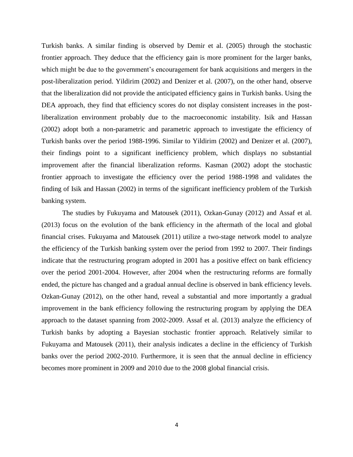Turkish banks. A similar finding is observed by Demir et al. (2005) through the stochastic frontier approach. They deduce that the efficiency gain is more prominent for the larger banks, which might be due to the government's encouragement for bank acquisitions and mergers in the post-liberalization period. Yildirim (2002) and Denizer et al. (2007), on the other hand, observe that the liberalization did not provide the anticipated efficiency gains in Turkish banks. Using the DEA approach, they find that efficiency scores do not display consistent increases in the postliberalization environment probably due to the macroeconomic instability. Isik and Hassan (2002) adopt both a non-parametric and parametric approach to investigate the efficiency of Turkish banks over the period 1988-1996. Similar to Yildirim (2002) and Denizer et al. (2007), their findings point to a significant inefficiency problem, which displays no substantial improvement after the financial liberalization reforms. Kasman (2002) adopt the stochastic frontier approach to investigate the efficiency over the period 1988-1998 and validates the finding of Isik and Hassan (2002) in terms of the significant inefficiency problem of the Turkish banking system.

The studies by Fukuyama and Matousek (2011), Ozkan-Gunay (2012) and Assaf et al. (2013) focus on the evolution of the bank efficiency in the aftermath of the local and global financial crises. Fukuyama and Matousek (2011) utilize a two-stage network model to analyze the efficiency of the Turkish banking system over the period from 1992 to 2007. Their findings indicate that the restructuring program adopted in 2001 has a positive effect on bank efficiency over the period 2001-2004. However, after 2004 when the restructuring reforms are formally ended, the picture has changed and a gradual annual decline is observed in bank efficiency levels. Ozkan-Gunay (2012), on the other hand, reveal a substantial and more importantly a gradual improvement in the bank efficiency following the restructuring program by applying the DEA approach to the dataset spanning from 2002-2009. Assaf et al. (2013) analyze the efficiency of Turkish banks by adopting a Bayesian stochastic frontier approach. Relatively similar to Fukuyama and Matousek (2011), their analysis indicates a decline in the efficiency of Turkish banks over the period 2002-2010. Furthermore, it is seen that the annual decline in efficiency becomes more prominent in 2009 and 2010 due to the 2008 global financial crisis.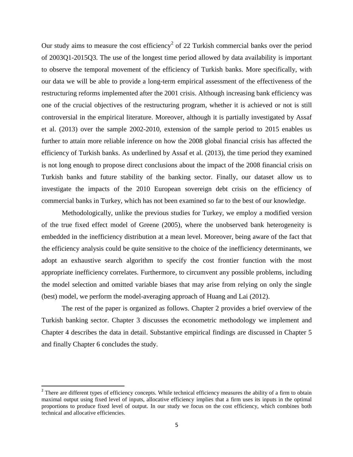Our study aims to measure the cost efficiency<sup>2</sup> of 22 Turkish commercial banks over the period of 2003Q1-2015Q3. The use of the longest time period allowed by data availability is important to observe the temporal movement of the efficiency of Turkish banks. More specifically, with our data we will be able to provide a long-term empirical assessment of the effectiveness of the restructuring reforms implemented after the 2001 crisis. Although increasing bank efficiency was one of the crucial objectives of the restructuring program, whether it is achieved or not is still controversial in the empirical literature. Moreover, although it is partially investigated by Assaf et al. (2013) over the sample 2002-2010, extension of the sample period to 2015 enables us further to attain more reliable inference on how the 2008 global financial crisis has affected the efficiency of Turkish banks. As underlined by Assaf et al. (2013), the time period they examined is not long enough to propose direct conclusions about the impact of the 2008 financial crisis on Turkish banks and future stability of the banking sector. Finally, our dataset allow us to investigate the impacts of the 2010 European sovereign debt crisis on the efficiency of commercial banks in Turkey, which has not been examined so far to the best of our knowledge.

Methodologically, unlike the previous studies for Turkey, we employ a modified version of the true fixed effect model of Greene (2005), where the unobserved bank heterogeneity is embedded in the inefficiency distribution at a mean level. Moreover, being aware of the fact that the efficiency analysis could be quite sensitive to the choice of the inefficiency determinants, we adopt an exhaustive search algorithm to specify the cost frontier function with the most appropriate inefficiency correlates. Furthermore, to circumvent any possible problems, including the model selection and omitted variable biases that may arise from relying on only the single (best) model, we perform the model-averaging approach of Huang and Lai (2012).

The rest of the paper is organized as follows. Chapter 2 provides a brief overview of the Turkish banking sector. Chapter 3 discusses the econometric methodology we implement and Chapter 4 describes the data in detail. Substantive empirical findings are discussed in Chapter 5 and finally Chapter 6 concludes the study.

 $\overline{\phantom{a}}$ 

<sup>&</sup>lt;sup>2</sup> There are different types of efficiency concepts. While technical efficiency measures the ability of a firm to obtain maximal output using fixed level of inputs, allocative efficiency implies that a firm uses its inputs in the optimal proportions to produce fixed level of output. In our study we focus on the cost efficiency, which combines both technical and allocative efficiencies.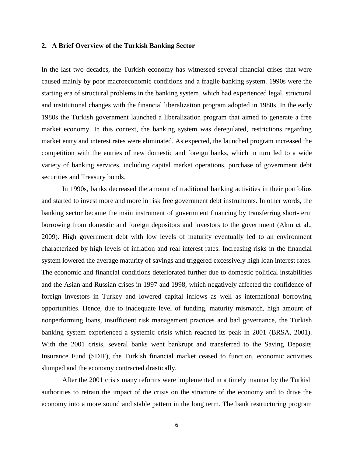#### **2. A Brief Overview of the Turkish Banking Sector**

In the last two decades, the Turkish economy has witnessed several financial crises that were caused mainly by poor macroeconomic conditions and a fragile banking system. 1990s were the starting era of structural problems in the banking system, which had experienced legal, structural and institutional changes with the financial liberalization program adopted in 1980s. In the early 1980s the Turkish government launched a liberalization program that aimed to generate a free market economy. In this context, the banking system was deregulated, restrictions regarding market entry and interest rates were eliminated. As expected, the launched program increased the competition with the entries of new domestic and foreign banks, which in turn led to a wide variety of banking services, including capital market operations, purchase of government debt securities and Treasury bonds.

In 1990s, banks decreased the amount of traditional banking activities in their portfolios and started to invest more and more in risk free government debt instruments. In other words, the banking sector became the main instrument of government financing by transferring short-term borrowing from domestic and foreign depositors and investors to the government (Akın et al., 2009). High government debt with low levels of maturity eventually led to an environment characterized by high levels of inflation and real interest rates. Increasing risks in the financial system lowered the average maturity of savings and triggered excessively high loan interest rates. The economic and financial conditions deteriorated further due to domestic political instabilities and the Asian and Russian crises in 1997 and 1998, which negatively affected the confidence of foreign investors in Turkey and lowered capital inflows as well as international borrowing opportunities. Hence, due to inadequate level of funding, maturity mismatch, high amount of nonperforming loans, insufficient risk management practices and bad governance, the Turkish banking system experienced a systemic crisis which reached its peak in 2001 (BRSA, 2001). With the 2001 crisis, several banks went bankrupt and transferred to the Saving Deposits Insurance Fund (SDIF), the Turkish financial market ceased to function, economic activities slumped and the economy contracted drastically.

After the 2001 crisis many reforms were implemented in a timely manner by the Turkish authorities to retrain the impact of the crisis on the structure of the economy and to drive the economy into a more sound and stable pattern in the long term. The bank restructuring program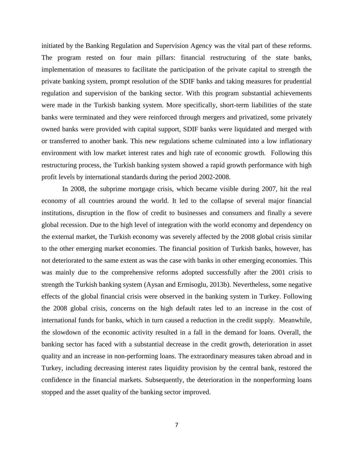initiated by the Banking Regulation and Supervision Agency was the vital part of these reforms. The program rested on four main pillars: financial restructuring of the state banks, implementation of measures to facilitate the participation of the private capital to strength the private banking system, prompt resolution of the SDIF banks and taking measures for prudential regulation and supervision of the banking sector. With this program substantial achievements were made in the Turkish banking system. More specifically, short-term liabilities of the state banks were terminated and they were reinforced through mergers and privatized, some privately owned banks were provided with capital support, SDIF banks were liquidated and merged with or transferred to another bank. This new regulations scheme culminated into a low inflationary environment with low market interest rates and high rate of economic growth. Following this restructuring process, the Turkish banking system showed a rapid growth performance with high profit levels by international standards during the period 2002-2008.

In 2008, the subprime mortgage crisis, which became visible during 2007, hit the real economy of all countries around the world. It led to the collapse of several major financial institutions, disruption in the flow of credit to businesses and consumers and finally a severe global recession. Due to the high level of integration with the world economy and dependency on the external market, the Turkish economy was severely affected by the 2008 global crisis similar to the other emerging market economies. The financial position of Turkish banks, however, has not deteriorated to the same extent as was the case with banks in other emerging economies. This was mainly due to the comprehensive reforms adopted successfully after the 2001 crisis to strength the Turkish banking system (Aysan and Ermisoglu, 2013b). Nevertheless, some negative effects of the global financial crisis were observed in the banking system in Turkey. Following the 2008 global crisis, concerns on the high default rates led to an increase in the cost of international funds for banks, which in turn caused a reduction in the credit supply. Meanwhile, the slowdown of the economic activity resulted in a fall in the demand for loans. Overall, the banking sector has faced with a substantial decrease in the credit growth, deterioration in asset quality and an increase in non-performing loans. The extraordinary measures taken abroad and in Turkey, including decreasing interest rates liquidity provision by the central bank, restored the confidence in the financial markets. Subsequently, the deterioration in the nonperforming loans stopped and the asset quality of the banking sector improved.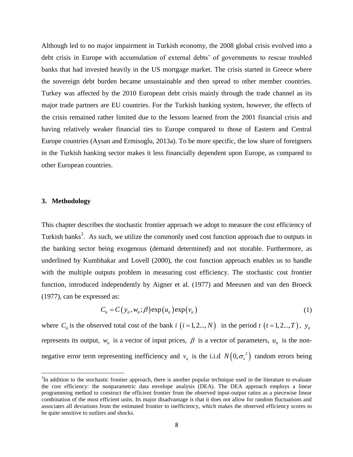Although led to no major impairment in Turkish economy, the 2008 global crisis evolved into a debt crisis in Europe with accumulation of external debts' of governments to rescue troubled banks that had invested heavily in the US mortgage market. The crisis started in Greece where the sovereign debt burden became unsustainable and then spread to other member countries. Turkey was affected by the 2010 European debt crisis mainly through the trade channel as its major trade partners are EU countries. For the Turkish banking system, however, the effects of the crisis remained rather limited due to the lessons learned from the 2001 financial crisis and having relatively weaker financial ties to Europe compared to those of Eastern and Central Europe countries (Aysan and Ermisoglu, 2013a). To be more specific, the low share of foreigners in the Turkish banking sector makes it less financially dependent upon Europe, as compared to other European countries.

#### **3. Methodology**

 $\overline{a}$ 

This chapter describes the stochastic frontier approach we adopt to measure the cost efficiency of Turkish banks<sup>3</sup>. As such, we utilize the commonly used cost function approach due to outputs in the banking sector being exogenous (demand determined) and not storable. Furthermore, as underlined by Kumbhakar and Lovell (2000), the cost function approach enables us to handle with the multiple outputs problem in measuring cost efficiency. The stochastic cost frontier function, introduced independently by Aigner et al. (1977) and Meeusen and van den Broeck (1977), can be expressed as:

$$
C_{ii} = C(y_{ii}, w_{ii}; \beta) \exp(u_{ii}) \exp(v_{ii})
$$
 (1)

where  $C_i$  is the observed total cost of the bank *i*  $(i = 1, 2..., N)$  in the period *t*  $(t = 1, 2..., T)$ ,  $y_i$ represents its output,  $w_{it}$  is a vector of input prices,  $\beta$  is a vector of parameters,  $u_{it}$  is the nonnegative error term representing inefficiency and  $v_{it}$  is the i.i.d  $N(0, \sigma_{v}^{2})$  random errors being

 $3$ In addition to the stochastic frontier approach, there is another popular technique used in the literature to evaluate the cost efficiency: the nonparametric data envelope analysis (DEA). The DEA approach employs a linear programming method to construct the efficient frontier from the observed input-output ratios as a piecewise linear combination of the most efficient units. Its major disadvantage is that it does not allow for random fluctuations and associates all deviations from the estimated frontier to inefficiency, which makes the observed efficiency scores to be quite sensitive to outliers and shocks.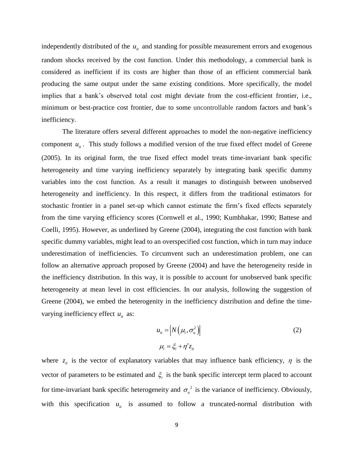independently distributed of the  $u_{it}$  and standing for possible measurement errors and exogenous random shocks received by the cost function. Under this methodology, a commercial bank is considered as inefficient if its costs are higher than those of an efficient commercial bank producing the same output under the same existing conditions. More specifically, the model implies that a bank's observed total cost might deviate from the cost-efficient frontier, i.e., minimum or best-practice cost frontier, due to some uncontrollable random factors and bank's inefficiency.

The literature offers several different approaches to model the non-negative inefficiency component  $u_{it}$ . This study follows a modified version of the true fixed effect model of Greene (2005). In its original form, the true fixed effect model treats time-invariant bank specific heterogeneity and time varying inefficiency separately by integrating bank specific dummy variables into the cost function. As a result it manages to distinguish between unobserved heterogeneity and inefficiency. In this respect, it differs from the traditional estimators for stochastic frontier in a panel set-up which cannot estimate the firm's fixed effects separately from the time varying efficiency scores (Cornwell et al., 1990; Kumbhakar, 1990; Battese and Coelli, 1995). However, as underlined by Greene (2004), integrating the cost function with bank specific dummy variables, might lead to an overspecified cost function, which in turn may induce underestimation of inefficiencies. To circumvent such an underestimation problem, one can follow an alternative approach proposed by Greene (2004) and have the heterogeneity reside in the inefficiency distribution. In this way, it is possible to account for unobserved bank specific heterogeneity at mean level in cost efficiencies. In our analysis, following the suggestion of Greene (2004), we embed the heterogenity in the inefficiency distribution and define the timevarying inefficiency effect  $u_{it}$  as:

$$
u_{it} = |N(\mu_i, \sigma_u^2)|
$$
  

$$
\mu_i = \xi_i + \eta' z_{it}
$$
 (2)

where  $z_{it}$  is the vector of explanatory variables that may influence bank efficiency,  $\eta$  is the vector of parameters to be estimated and  $\xi$  is the bank specific intercept term placed to account for time-invariant bank specific heterogeneity and  $\sigma_u^2$  is the variance of inefficiency. Obviously, with this specification  $u_{it}$  is assumed to follow a truncated-normal distribution with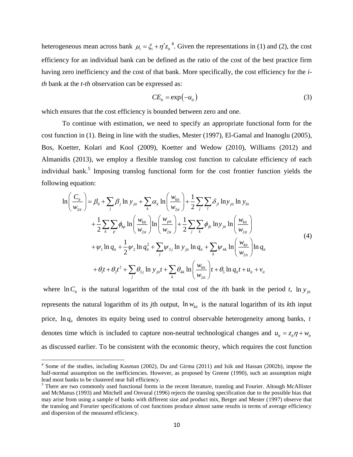heterogeneous mean across bank  $\mu_i = \xi_i + \eta' z_i^{4}$ . Given the representations in (1) and (2), the cost efficiency for an individual bank can be defined as the ratio of the cost of the best practice firm having zero inefficiency and the cost of that bank. More specifically, the cost efficiency for the *ith* bank at the *t-th* observation can be expressed as:

$$
CE_{it} = \exp(-u_{it})
$$
 (3)

which ensures that the cost efficiency is bounded between zero and one.

To continue with estimation, we need to specify an appropriate functional form for the cost function in (1). Being in line with the studies, Mester (1997), El-Gamal and Inanoglu (2005), Bos, Koetter, Kolari and Kool (2009), Koetter and Wedow (2010), Williams (2012) and Almanidis (2013), we employ a flexible translog cost function to calculate efficiency of each individual bank.<sup>5</sup> Imposing translog functional form for the cost frontier function yields the following equation:

$$
\ln\left(\frac{C_{it}}{w_{2it}}\right) = \beta_0 + \sum_{j} \beta_j \ln y_{jit} + \sum_{k} \alpha_k \ln\left(\frac{w_{kit}}{w_{2it}}\right) + \frac{1}{2} \sum_{j} \sum_{l} \delta_{jl} \ln y_{jit} \ln y_{lit}
$$
  
+  $\frac{1}{2} \sum_{k} \sum_{p} \phi_{kp} \ln\left(\frac{w_{kit}}{w_{2it}}\right) \ln\left(\frac{w_{pit}}{w_{2it}}\right) + \frac{1}{2} \sum_{j} \sum_{k} \phi_{jk} \ln y_{jit} \ln\left(\frac{w_{kit}}{w_{2it}}\right)$   
+  $\psi_1 \ln q_{it} + \frac{1}{2} \psi_2 \ln q_{it}^2 + \sum_{j} \psi_{3j} \ln y_{jit} \ln q_{it} + \sum_{k} \psi_{4k} \ln\left(\frac{w_{kit}}{w_{2it}}\right) \ln q_{it}$   
+  $\theta_1 t + \theta_2 t^2 + \sum_{j} \theta_{3j} \ln y_{jit} t + \sum_{k} \theta_{4k} \ln\left(\frac{w_{kit}}{w_{2it}}\right) t + \theta_5 \ln q_{it} t + u_{it} + v_{it}$  (4)

where  $\ln C_i$  is the natural logarithm of the total cost of the *i*th bank in the period *t*, ln  $y_{ji}$ represents the natural logarithm of its *j*th output,  $\ln w_{\text{kin}}$  is the natural logarithm of its *k*th input price,  $\ln q_{it}$  denotes its equity being used to control observable heterogeneity among banks, *t* denotes time which is included to capture non-neutral technological changes and  $u_i = z_{ii} \eta + w_{ii}$ as discussed earlier. To be consistent with the economic theory, which requires the cost function

 4 Some of the studies, including Kasman (2002), Du and Girma (2011) and Isik and Hassan (2002b), impose the half-normal assumption on the inefficiencies. However, as proposed by Greene (1990), such an assumption might lead most banks to be clustered near full efficiency.

<sup>&</sup>lt;sup>5</sup> There are two commonly used functional forms in the recent literature, translog and Fourier. Altough McAllister and McManus (1993) and Mitchell and Onvural (1996) rejects the translog specification due to the possible bias that may arise from using a sample of banks with different size and product mix, Berger and Mester (1997) observe that the translog and Forurier specifications of cost functions produce almost same results in terms of average efficiency and dispersion of the measured efficiency.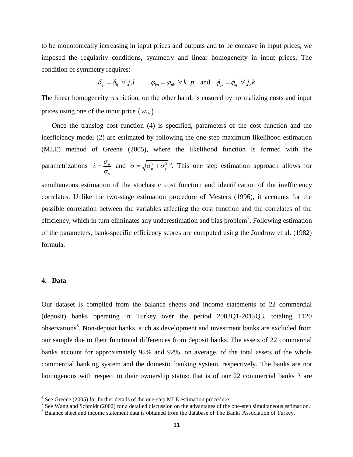to be monotonically increasing in input prices and outputs and to be concave in input prices, we imposed the regularity conditions, symmetry and linear homogeneity in input prices. The condition of symmetry requires:

$$
\delta_{jl} = \delta_{lj} \ \forall \ j, l \qquad \varphi_{kp} = \varphi_{pk} \ \forall k, p \quad \text{and} \quad \phi_{jk} = \phi_{kj} \ \forall \ j, k
$$

The linear homogeneity restriction, on the other hand, is ensured by normalizing costs and input prices using one of the input price  $(w_{2it})$ .

Once the translog cost function (4) is specified, parameters of the cost function and the inefficiency model (2) are estimated by following the one-step maximum likelihood estimation (MLE) method of Greene (2005), where the likelihood function is formed with the parametrizations  $\lambda = \frac{U_u}{U_u}$ *v*  $\lambda = \frac{\sigma}{\sqrt{2}}$  $=\frac{\sigma_u}{\sigma}$  and  $\sigma = \sqrt{\sigma_u^2 + \sigma_v^2}$ . This one step estimation approach allows for simultaneous estimation of the stochastic cost function and identification of the inefficiency correlates. Unlike the two-stage estimation procedure of Mesters (1996), it accounts for the possible correlation between the variables affecting the cost function and the correlates of the efficiency, which in turn eliminates any underestimation and bias problem<sup>7</sup>. Following estimation of the parameters, bank-specific efficiency scores are computed using the Jondrow et al. (1982) formula.

#### **4. Data**

l

Our dataset is compiled from the balance sheets and income statements of 22 commercial (deposit) banks operating in Turkey over the period 2003Q1-2015Q3, totaling 1120 observations<sup>8</sup>. Non-deposit banks, such as development and investment banks are excluded from our sample due to their functional differences from deposit banks. The assets of 22 commercial banks account for approximately 95% and 92%, on average, of the total assets of the whole commercial banking system and the domestic banking system, respectively. The banks are not homogenous with respect to their ownership status; that is of our 22 commercial banks 3 are

 $6$  See Greene (2005) for further details of the one-step MLE estimation procedure.

<sup>&</sup>lt;sup>7</sup> See Wang and Schmidt (2002) for a detailed discussion on the advantages of the one-step simultaneous estimation.

<sup>&</sup>lt;sup>8</sup> Balance sheet and income statement data is obtained from the database of The Banks Association of Turkey.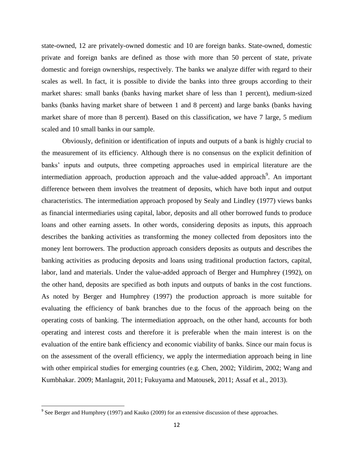state-owned, 12 are privately-owned domestic and 10 are foreign banks. State-owned, domestic private and foreign banks are defined as those with more than 50 percent of state, private domestic and foreign ownerships, respectively. The banks we analyze differ with regard to their scales as well. In fact, it is possible to divide the banks into three groups according to their market shares: small banks (banks having market share of less than 1 percent), medium-sized banks (banks having market share of between 1 and 8 percent) and large banks (banks having market share of more than 8 percent). Based on this classification, we have 7 large, 5 medium scaled and 10 small banks in our sample.

Obviously, definition or identification of inputs and outputs of a bank is highly crucial to the measurement of its efficiency. Although there is no consensus on the explicit definition of banks' inputs and outputs, three competing approaches used in empirical literature are the intermediation approach, production approach and the value-added approach<sup>9</sup>. An important difference between them involves the treatment of deposits, which have both input and output characteristics. The intermediation approach proposed by Sealy and Lindley (1977) views banks as financial intermediaries using capital, labor, deposits and all other borrowed funds to produce loans and other earning assets. In other words, considering deposits as inputs, this approach describes the banking activities as transforming the money collected from depositors into the money lent borrowers. The production approach considers deposits as outputs and describes the banking activities as producing deposits and loans using traditional production factors, capital, labor, land and materials. Under the value-added approach of Berger and Humphrey (1992), on the other hand, deposits are specified as both inputs and outputs of banks in the cost functions. As noted by Berger and Humphrey (1997) the production approach is more suitable for evaluating the efficiency of bank branches due to the focus of the approach being on the operating costs of banking. The intermediation approach, on the other hand, accounts for both operating and interest costs and therefore it is preferable when the main interest is on the evaluation of the entire bank efficiency and economic viability of banks. Since our main focus is on the assessment of the overall efficiency, we apply the intermediation approach being in line with other empirical studies for emerging countries (e.g. Chen, 2002; Yildirim, 2002; Wang and Kumbhakar. 2009; Manlagnit, 2011; Fukuyama and Matousek, 2011; Assaf et al., 2013).

<sup>&</sup>lt;sup>9</sup> See Berger and Humphrey (1997) and Kauko (2009) for an extensive discussion of these approaches.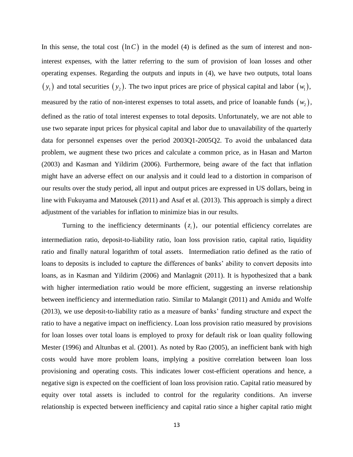In this sense, the total cost  $(\ln C)$  in the model (4) is defined as the sum of interest and noninterest expenses, with the latter referring to the sum of provision of loan losses and other operating expenses. Regarding the outputs and inputs in (4), we have two outputs, total loans  $(y_1)$  and total securities  $(y_2)$ . The two input prices are price of physical capital and labor  $(w_1)$ , measured by the ratio of non-interest expenses to total assets, and price of loanable funds  $(w_2)$ , defined as the ratio of total interest expenses to total deposits. Unfortunately, we are not able to use two separate input prices for physical capital and labor due to unavailability of the quarterly data for personnel expenses over the period 2003Q1-2005Q2. To avoid the unbalanced data problem, we augment these two prices and calculate a common price, as in Hasan and Marton (2003) and Kasman and Yildirim (2006). Furthermore, being aware of the fact that inflation might have an adverse effect on our analysis and it could lead to a distortion in comparison of our results over the study period, all input and output prices are expressed in US dollars, being in line with Fukuyama and Matousek (2011) and Asaf et al. (2013). This approach is simply a direct adjustment of the variables for inflation to minimize bias in our results.

Turning to the inefficiency determinants  $(z<sub>i</sub>)$ , our potential efficiency correlates are intermediation ratio, deposit-to-liability ratio, loan loss provision ratio, capital ratio, liquidity ratio and finally natural logarithm of total assets. Intermediation ratio defined as the ratio of loans to deposits is included to capture the differences of banks' ability to convert deposits into loans, as in Kasman and Yildirim (2006) and Manlagnit (2011). It is hypothesized that a bank with higher intermediation ratio would be more efficient, suggesting an inverse relationship between inefficiency and intermediation ratio. Similar to Malangit (2011) and Amidu and Wolfe (2013), we use deposit-to-liability ratio as a measure of banks' funding structure and expect the ratio to have a negative impact on inefficiency. Loan loss provision ratio measured by provisions for loan losses over total loans is employed to proxy for default risk or loan quality following Mester (1996) and Altunbas et al. (2001). As noted by Rao (2005), an inefficient bank with high costs would have more problem loans, implying a positive correlation between loan loss provisioning and operating costs. This indicates lower cost-efficient operations and hence, a negative sign is expected on the coefficient of loan loss provision ratio. Capital ratio measured by equity over total assets is included to control for the regularity conditions. An inverse relationship is expected between inefficiency and capital ratio since a higher capital ratio might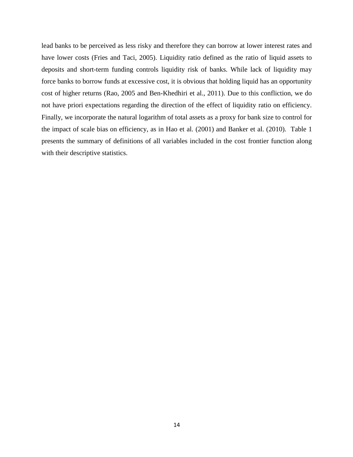lead banks to be perceived as less risky and therefore they can borrow at lower interest rates and have lower costs (Fries and Taci, 2005). Liquidity ratio defined as the ratio of liquid assets to deposits and short-term funding controls liquidity risk of banks. While lack of liquidity may force banks to borrow funds at excessive cost, it is obvious that holding liquid has an opportunity cost of higher returns (Rao, 2005 and Ben-Khedhiri et al., 2011). Due to this confliction, we do not have priori expectations regarding the direction of the effect of liquidity ratio on efficiency. Finally, we incorporate the natural logarithm of total assets as a proxy for bank size to control for the impact of scale bias on efficiency, as in Hao et al. (2001) and Banker et al. (2010). Table 1 presents the summary of definitions of all variables included in the cost frontier function along with their descriptive statistics.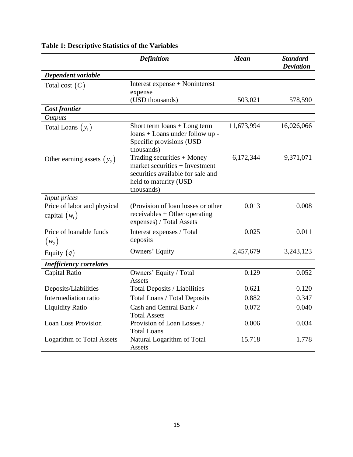|                                                | <b>Definition</b>                                                                                                                          | <b>Mean</b> | <b>Standard</b><br><b>Deviation</b> |
|------------------------------------------------|--------------------------------------------------------------------------------------------------------------------------------------------|-------------|-------------------------------------|
| Dependent variable                             |                                                                                                                                            |             |                                     |
| Total cost $(C)$                               | Interest expense + Noninterest                                                                                                             |             |                                     |
|                                                | expense                                                                                                                                    |             |                                     |
|                                                | (USD thousands)                                                                                                                            | 503,021     | 578,590                             |
| <b>Cost frontier</b>                           |                                                                                                                                            |             |                                     |
| <i>Outputs</i>                                 |                                                                                                                                            |             |                                     |
| Total Loans $(y_1)$                            | Short term loans + Long term<br>loans + Loans under follow up -<br>Specific provisions (USD<br>thousands)                                  | 11,673,994  | 16,026,066                          |
| Other earning assets $(y_2)$                   | Trading securities + Money<br>market securities $+$ Investment<br>securities available for sale and<br>held to maturity (USD<br>thousands) | 6,172,344   | 9,371,071                           |
| Input prices                                   |                                                                                                                                            |             |                                     |
| Price of labor and physical<br>capital $(w_1)$ | (Provision of loan losses or other<br>$receivables + Other operating$<br>expenses) / Total Assets                                          | 0.013       | 0.008                               |
| Price of loanable funds<br>$(w_2)$             | Interest expenses / Total<br>deposits                                                                                                      | 0.025       | 0.011                               |
| Equity $(q)$                                   | Owners' Equity                                                                                                                             | 2,457,679   | 3,243,123                           |
| <b>Inefficiency correlates</b>                 |                                                                                                                                            |             |                                     |
| Capital Ratio                                  | Owners' Equity / Total<br>Assets                                                                                                           | 0.129       | 0.052                               |
| Deposits/Liabilities                           | Total Deposits / Liabilities                                                                                                               | 0.621       | 0.120                               |
| Intermediation ratio                           | <b>Total Loans / Total Deposits</b>                                                                                                        | 0.882       | 0.347                               |
| <b>Liquidity Ratio</b>                         | Cash and Central Bank /<br><b>Total Assets</b>                                                                                             | 0.072       | 0.040                               |
| <b>Loan Loss Provision</b>                     | Provision of Loan Losses /<br><b>Total Loans</b>                                                                                           | 0.006       | 0.034                               |
| <b>Logarithm of Total Assets</b>               | Natural Logarithm of Total<br>Assets                                                                                                       | 15.718      | 1.778                               |

## **Table 1: Descriptive Statistics of the Variables**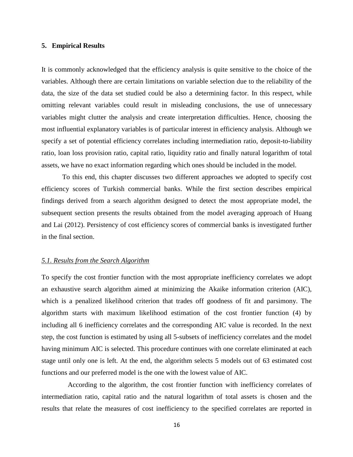#### **5. Empirical Results**

It is commonly acknowledged that the efficiency analysis is quite sensitive to the choice of the variables. Although there are certain limitations on variable selection due to the reliability of the data, the size of the data set studied could be also a determining factor. In this respect, while omitting relevant variables could result in misleading conclusions, the use of unnecessary variables might clutter the analysis and create interpretation difficulties. Hence, choosing the most influential explanatory variables is of particular interest in efficiency analysis. Although we specify a set of potential efficiency correlates including intermediation ratio, deposit-to-liability ratio, loan loss provision ratio, capital ratio, liquidity ratio and finally natural logarithm of total assets, we have no exact information regarding which ones should be included in the model.

To this end, this chapter discusses two different approaches we adopted to specify cost efficiency scores of Turkish commercial banks. While the first section describes empirical findings derived from a search algorithm designed to detect the most appropriate model, the subsequent section presents the results obtained from the model averaging approach of Huang and Lai (2012). Persistency of cost efficiency scores of commercial banks is investigated further in the final section.

#### *5.1. Results from the Search Algorithm*

To specify the cost frontier function with the most appropriate inefficiency correlates we adopt an exhaustive search algorithm aimed at minimizing the Akaike information criterion (AIC), which is a penalized likelihood criterion that trades off goodness of fit and parsimony. The algorithm starts with maximum likelihood estimation of the cost frontier function (4) by including all 6 inefficiency correlates and the corresponding AIC value is recorded. In the next step, the cost function is estimated by using all 5-subsets of inefficiency correlates and the model having minimum AIC is selected. This procedure continues with one correlate eliminated at each stage until only one is left. At the end, the algorithm selects 5 models out of 63 estimated cost functions and our preferred model is the one with the lowest value of AIC.

According to the algorithm, the cost frontier function with inefficiency correlates of intermediation ratio, capital ratio and the natural logarithm of total assets is chosen and the results that relate the measures of cost inefficiency to the specified correlates are reported in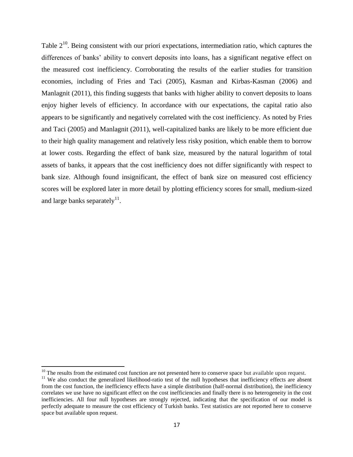Table  $2^{10}$ . Being consistent with our priori expectations, intermediation ratio, which captures the differences of banks' ability to convert deposits into loans, has a significant negative effect on the measured cost inefficiency. Corroborating the results of the earlier studies for transition economies, including of Fries and Taci (2005), Kasman and Kirbas-Kasman (2006) and Manlagnit (2011), this finding suggests that banks with higher ability to convert deposits to loans enjoy higher levels of efficiency. In accordance with our expectations, the capital ratio also appears to be significantly and negatively correlated with the cost inefficiency. As noted by Fries and Taci (2005) and Manlagnit (2011), well-capitalized banks are likely to be more efficient due to their high quality management and relatively less risky position, which enable them to borrow at lower costs. Regarding the effect of bank size, measured by the natural logarithm of total assets of banks, it appears that the cost inefficiency does not differ significantly with respect to bank size. Although found insignificant, the effect of bank size on measured cost efficiency scores will be explored later in more detail by plotting efficiency scores for small, medium-sized and large banks separately<sup>11</sup>.

 $\overline{\phantom{a}}$ 

 $10$  The results from the estimated cost function are not presented here to conserve space but available upon request.

<sup>&</sup>lt;sup>11</sup> We also conduct the generalized likelihood-ratio test of the null hypotheses that inefficiency effects are absent from the cost function, the inefficiency effects have a simple distribution (half-normal distribution), the inefficiency correlates we use have no significant effect on the cost inefficiencies and finally there is no heterogeneity in the cost inefficiencies. All four null hypotheses are strongly rejected, indicating that the specification of our model is perfectly adequate to measure the cost efficiency of Turkish banks. Test statistics are not reported here to conserve space but available upon request.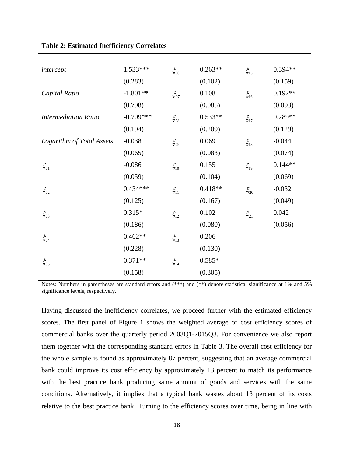| intercept                   | 1.533***    | $\xi_{06}$ | $0.263**$ | $\xi_{15}$ | $0.394**$ |
|-----------------------------|-------------|------------|-----------|------------|-----------|
|                             | (0.283)     |            | (0.102)   |            | (0.159)   |
| Capital Ratio               | $-1.801**$  | $\xi_{07}$ | 0.108     | $\xi_{16}$ | $0.192**$ |
|                             | (0.798)     |            | (0.085)   |            | (0.093)   |
| <b>Intermediation Ratio</b> | $-0.709***$ | $\xi_{08}$ | $0.533**$ | $\xi_{17}$ | 0.289**   |
|                             | (0.194)     |            | (0.209)   |            | (0.129)   |
| Logarithm of Total Assets   | $-0.038$    | $\xi_{09}$ | 0.069     | $\xi_{18}$ | $-0.044$  |
|                             | (0.065)     |            | (0.083)   |            | (0.074)   |
| $\xi_{01}$                  | $-0.086$    | $\xi_{10}$ | 0.155     | $\xi_{19}$ | $0.144**$ |
|                             | (0.059)     |            | (0.104)   |            | (0.069)   |
| $\xi_{02}$                  | $0.434***$  | $\xi_{11}$ | $0.418**$ | $\xi_{20}$ | $-0.032$  |
|                             | (0.125)     |            | (0.167)   |            | (0.049)   |
| $\xi_{03}$                  | $0.315*$    | $\xi_{12}$ | 0.102     | $\xi_{21}$ | 0.042     |
|                             | (0.186)     |            | (0.080)   |            | (0.056)   |
| $\xi_{04}$                  | $0.462**$   | $\xi_{13}$ | 0.206     |            |           |
|                             | (0.228)     |            | (0.130)   |            |           |
| $\xi_{05}$                  | $0.371**$   | $\xi_{14}$ | $0.585*$  |            |           |
|                             | (0.158)     |            | (0.305)   |            |           |

**Table 2: Estimated Inefficiency Correlates**

Notes: Numbers in parentheses are standard errors and (\*\*\*) and (\*\*) denote statistical significance at 1% and 5% significance levels, respectively.

Having discussed the inefficiency correlates, we proceed further with the estimated efficiency scores. The first panel of Figure 1 shows the weighted average of cost efficiency scores of commercial banks over the quarterly period 2003Q1-2015Q3. For convenience we also report them together with the corresponding standard errors in Table 3. The overall cost efficiency for the whole sample is found as approximately 87 percent, suggesting that an average commercial bank could improve its cost efficiency by approximately 13 percent to match its performance with the best practice bank producing same amount of goods and services with the same conditions. Alternatively, it implies that a typical bank wastes about 13 percent of its costs relative to the best practice bank. Turning to the efficiency scores over time, being in line with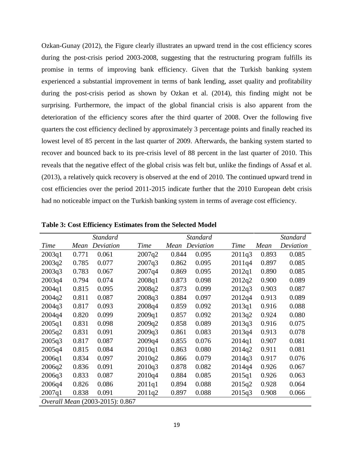Ozkan-Gunay (2012), the Figure clearly illustrates an upward trend in the cost efficiency scores during the post-crisis period 2003-2008, suggesting that the restructuring program fulfills its promise in terms of improving bank efficiency. Given that the Turkish banking system experienced a substantial improvement in terms of bank lending, asset quality and profitability during the post-crisis period as shown by Ozkan et al. (2014), this finding might not be surprising. Furthermore, the impact of the global financial crisis is also apparent from the deterioration of the efficiency scores after the third quarter of 2008. Over the following five quarters the cost efficiency declined by approximately 3 percentage points and finally reached its lowest level of 85 percent in the last quarter of 2009. Afterwards, the banking system started to recover and bounced back to its pre-crisis level of 88 percent in the last quarter of 2010. This reveals that the negative effect of the global crisis was felt but, unlike the findings of Assaf et al. (2013), a relatively quick recovery is observed at the end of 2010. The continued upward trend in cost efficiencies over the period 2011-2015 indicate further that the 2010 European debt crisis had no noticeable impact on the Turkish banking system in terms of average cost efficiency.

|                                 |       | <b>Standard</b> |        |       | <b>Standard</b> |        |       | Standard  |
|---------------------------------|-------|-----------------|--------|-------|-----------------|--------|-------|-----------|
| Time                            | Mean  | Deviation       | Time   | Mean  | Deviation       | Time   | Mean  | Deviation |
| 2003q1                          | 0.771 | 0.061           | 2007q2 | 0.844 | 0.095           | 2011q3 | 0.893 | 0.085     |
| 2003q2                          | 0.785 | 0.077           | 2007q3 | 0.862 | 0.095           | 2011q4 | 0.897 | 0.085     |
| 2003q3                          | 0.783 | 0.067           | 2007q4 | 0.869 | 0.095           | 2012q1 | 0.890 | 0.085     |
| 2003q4                          | 0.794 | 0.074           | 2008q1 | 0.873 | 0.098           | 2012q2 | 0.900 | 0.089     |
| 2004q1                          | 0.815 | 0.095           | 2008q2 | 0.873 | 0.099           | 2012q3 | 0.903 | 0.087     |
| 2004q2                          | 0.811 | 0.087           | 2008q3 | 0.884 | 0.097           | 2012q4 | 0.913 | 0.089     |
| 2004q3                          | 0.817 | 0.093           | 2008q4 | 0.859 | 0.092           | 2013q1 | 0.916 | 0.088     |
| 2004q4                          | 0.820 | 0.099           | 2009q1 | 0.857 | 0.092           | 2013q2 | 0.924 | 0.080     |
| 2005q1                          | 0.831 | 0.098           | 2009q2 | 0.858 | 0.089           | 2013q3 | 0.916 | 0.075     |
| 2005q2                          | 0.831 | 0.091           | 2009q3 | 0.861 | 0.083           | 2013q4 | 0.913 | 0.078     |
| 2005q3                          | 0.817 | 0.087           | 2009q4 | 0.855 | 0.076           | 2014q1 | 0.907 | 0.081     |
| 2005q4                          | 0.815 | 0.084           | 2010q1 | 0.863 | 0.080           | 2014q2 | 0.911 | 0.081     |
| 2006q1                          | 0.834 | 0.097           | 2010q2 | 0.866 | 0.079           | 2014q3 | 0.917 | 0.076     |
| 2006q2                          | 0.836 | 0.091           | 2010q3 | 0.878 | 0.082           | 2014q4 | 0.926 | 0.067     |
| 2006q3                          | 0.833 | 0.087           | 2010q4 | 0.884 | 0.085           | 2015q1 | 0.926 | 0.063     |
| 2006q4                          | 0.826 | 0.086           | 2011q1 | 0.894 | 0.088           | 2015q2 | 0.928 | 0.064     |
| 2007q1                          | 0.838 | 0.091           | 2011q2 | 0.897 | 0.088           | 2015q3 | 0.908 | 0.066     |
| Overall Mean (2003-2015): 0.867 |       |                 |        |       |                 |        |       |           |

**Table 3: Cost Efficiency Estimates from the Selected Model**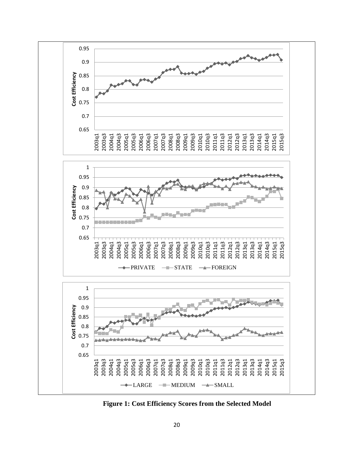

**Figure 1: Cost Efficiency Scores from the Selected Model**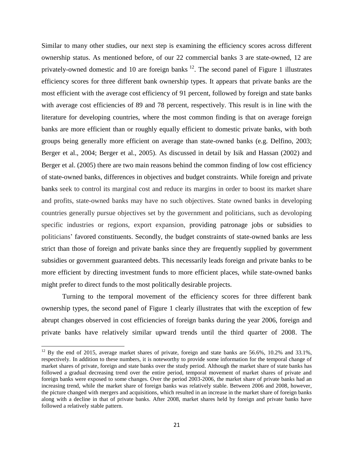Similar to many other studies, our next step is examining the efficiency scores across different ownership status. As mentioned before, of our 22 commercial banks 3 are state-owned, 12 are privately-owned domestic and 10 are foreign banks  $^{12}$ . The second panel of Figure 1 illustrates efficiency scores for three different bank ownership types. It appears that private banks are the most efficient with the average cost efficiency of 91 percent, followed by foreign and state banks with average cost efficiencies of 89 and 78 percent, respectively. This result is in line with the literature for developing countries, where the most common finding is that on average foreign banks are more efficient than or roughly equally efficient to domestic private banks, with both groups being generally more efficient on average than state-owned banks (e.g. Delfino, 2003; Berger et al., 2004; Berger et al., 2005). As discussed in detail by Isik and Hassan (2002) and Berger et al. (2005) there are two main reasons behind the common finding of low cost efficiency of state-owned banks, differences in objectives and budget constraints. While foreign and private banks seek to control its marginal cost and reduce its margins in order to boost its market share and profits, state-owned banks may have no such objectives. State owned banks in developing countries generally pursue objectives set by the government and politicians, such as devoloping specific industries or regions, export expansion, providing patronage jobs or subsidies to politicians' favored constituents. Secondly, the budget constraints of state-owned banks are less strict than those of foreign and private banks since they are frequently supplied by government subsidies or government guaranteed debts. This necessarily leads foreign and private banks to be more efficient by directing investment funds to more efficient places, while state-owned banks might prefer to direct funds to the most politically desirable projects.

Turning to the temporal movement of the efficiency scores for three different bank ownership types, the second panel of Figure 1 clearly illustrates that with the exception of few abrupt changes observed in cost efficiencies of foreign banks during the year 2006, foreign and private banks have relatively similar upward trends until the third quarter of 2008. The

 $\overline{\phantom{a}}$ 

 $12$  By the end of 2015, average market shares of private, foreign and state banks are 56.6%, 10.2% and 33.1%, respectively. In addition to these numbers, it is noteworthy to provide some information for the temporal change of market shares of private, foreign and state banks over the study period. Although the market share of state banks has followed a gradual decreasing trend over the entire period, temporal movement of market shares of private and foreign banks were exposed to some changes. Over the period 2003-2006, the market share of private banks had an increasing trend, while the market share of foreign banks was relatively stable. Between 2006 and 2008, however, the picture changed with mergers and acquisitions, which resulted in an increase in the market share of foreign banks along with a decline in that of private banks. After 2008, market shares held by foreign and private banks have followed a relatively stable pattern.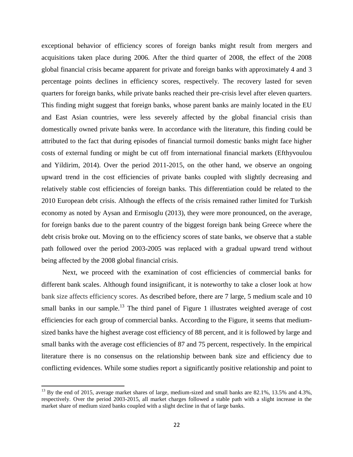exceptional behavior of efficiency scores of foreign banks might result from mergers and acquisitions taken place during 2006. After the third quarter of 2008, the effect of the 2008 global financial crisis became apparent for private and foreign banks with approximately 4 and 3 percentage points declines in efficiency scores, respectively. The recovery lasted for seven quarters for foreign banks, while private banks reached their pre-crisis level after eleven quarters. This finding might suggest that foreign banks, whose parent banks are mainly located in the EU and East Asian countries, were less severely affected by the global financial crisis than domestically owned private banks were. In accordance with the literature, this finding could be attributed to the fact that during episodes of financial turmoil domestic banks might face higher costs of external funding or might be cut off from international financial markets (Efthyvoulou and Yildirim, 2014). Over the period 2011-2015, on the other hand, we observe an ongoing upward trend in the cost efficiencies of private banks coupled with slightly decreasing and relatively stable cost efficiencies of foreign banks. This differentiation could be related to the 2010 European debt crisis. Although the effects of the crisis remained rather limited for Turkish economy as noted by Aysan and Ermisoglu (2013), they were more pronounced, on the average, for foreign banks due to the parent country of the biggest foreign bank being Greece where the debt crisis broke out. Moving on to the efficiency scores of state banks, we observe that a stable path followed over the period 2003-2005 was replaced with a gradual upward trend without being affected by the 2008 global financial crisis.

Next, we proceed with the examination of cost efficiencies of commercial banks for different bank scales. Although found insignificant, it is noteworthy to take a closer look at how bank size affects efficiency scores. As described before, there are 7 large, 5 medium scale and 10 small banks in our sample.<sup>13</sup> The third panel of Figure 1 illustrates weighted average of cost efficiencies for each group of commercial banks. According to the Figure, it seems that mediumsized banks have the highest average cost efficiency of 88 percent, and it is followed by large and small banks with the average cost efficiencies of 87 and 75 percent, respectively. In the empirical literature there is no consensus on the relationship between bank size and efficiency due to conflicting evidences. While some studies report a significantly positive relationship and point to

 $\overline{\phantom{a}}$ 

<sup>&</sup>lt;sup>13</sup> By the end of 2015, average market shares of large, medium-sized and small banks are 82.1%, 13.5% and 4.3%, respectively. Over the period 2003-2015, all market charges followed a stable path with a slight increase in the market share of medium sized banks coupled with a slight decline in that of large banks.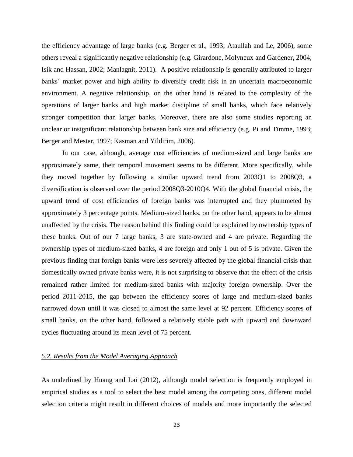the efficiency advantage of large banks (e.g. Berger et al., 1993; Ataullah and Le, 2006), some others reveal a significantly negative relationship (e.g. Girardone, Molyneux and Gardener, 2004; Isik and Hassan, 2002; Manlagnit, 2011). A positive relationship is generally attributed to larger banks' market power and high ability to diversify credit risk in an uncertain macroeconomic environment. A negative relationship, on the other hand is related to the complexity of the operations of larger banks and high market discipline of small banks, which face relatively stronger competition than larger banks. Moreover, there are also some studies reporting an unclear or insignificant relationship between bank size and efficiency (e.g. Pi and Timme, 1993; Berger and Mester, 1997; Kasman and Yildirim, 2006).

In our case, although, average cost efficiencies of medium-sized and large banks are approximately same, their temporal movement seems to be different. More specifically, while they moved together by following a similar upward trend from 2003Q1 to 2008Q3, a diversification is observed over the period 2008Q3-2010Q4. With the global financial crisis, the upward trend of cost efficiencies of foreign banks was interrupted and they plummeted by approximately 3 percentage points. Medium-sized banks, on the other hand, appears to be almost unaffected by the crisis. The reason behind this finding could be explained by ownership types of these banks. Out of our 7 large banks, 3 are state-owned and 4 are private. Regarding the ownership types of medium-sized banks, 4 are foreign and only 1 out of 5 is private. Given the previous finding that foreign banks were less severely affected by the global financial crisis than domestically owned private banks were, it is not surprising to observe that the effect of the crisis remained rather limited for medium-sized banks with majority foreign ownership. Over the period 2011-2015, the gap between the efficiency scores of large and medium-sized banks narrowed down until it was closed to almost the same level at 92 percent. Efficiency scores of small banks, on the other hand, followed a relatively stable path with upward and downward cycles fluctuating around its mean level of 75 percent.

#### *5.2. Results from the Model Averaging Approach*

As underlined by Huang and Lai (2012), although model selection is frequently employed in empirical studies as a tool to select the best model among the competing ones, different model selection criteria might result in different choices of models and more importantly the selected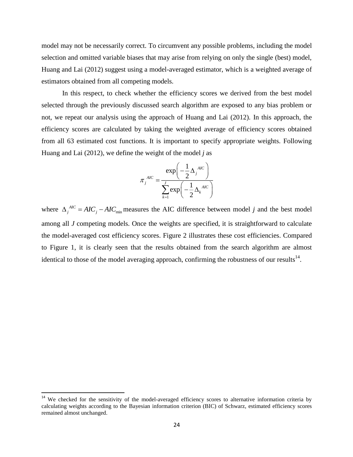model may not be necessarily correct. To circumvent any possible problems, including the model selection and omitted variable biases that may arise from relying on only the single (best) model, Huang and Lai (2012) suggest using a model-averaged estimator, which is a weighted average of estimators obtained from all competing models.

In this respect, to check whether the efficiency scores we derived from the best model selected through the previously discussed search algorithm are exposed to any bias problem or not, we repeat our analysis using the approach of Huang and Lai (2012). In this approach, the efficiency scores are calculated by taking the weighted average of efficiency scores obtained from all 63 estimated cost functions. It is important to specify appropriate weights. Following Huang and Lai (2012), we define the weight of the model *j* as

$$
\pi_j^{AIC} = \frac{\exp\left(-\frac{1}{2}\Delta_j^{AIC}\right)}{\sum_{k=1}^{J} \exp\left(-\frac{1}{2}\Delta_k^{AIC}\right)}
$$

where  $\Delta_j^{AC} = AIC_j - AIC_{min}$  measures the AIC difference between model *j* and the best model among all *J* competing models. Once the weights are specified, it is straightforward to calculate the model-averaged cost efficiency scores. Figure 2 illustrates these cost efficiencies. Compared to Figure 1, it is clearly seen that the results obtained from the search algorithm are almost identical to those of the model averaging approach, confirming the robustness of our results $^{14}$ .

 $\overline{\phantom{a}}$ 

<sup>&</sup>lt;sup>14</sup> We checked for the sensitivity of the model-averaged efficiency scores to alternative information criteria by calculating weights according to the Bayesian information criterion (BIC) of Schwarz, estimated efficiency scores remained almost unchanged.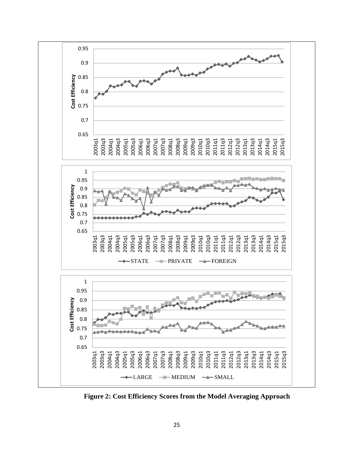

**Figure 2: Cost Efficiency Scores from the Model Averaging Approach**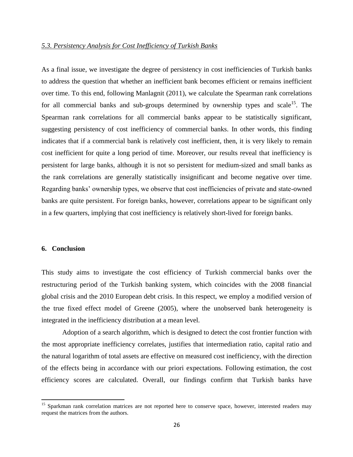#### *5.3. Persistency Analysis for Cost Inefficiency of Turkish Banks*

As a final issue, we investigate the degree of persistency in cost inefficiencies of Turkish banks to address the question that whether an inefficient bank becomes efficient or remains inefficient over time. To this end, following Manlagnit (2011), we calculate the Spearman rank correlations for all commercial banks and sub-groups determined by ownership types and scale<sup>15</sup>. The Spearman rank correlations for all commercial banks appear to be statistically significant, suggesting persistency of cost inefficiency of commercial banks. In other words, this finding indicates that if a commercial bank is relatively cost inefficient, then, it is very likely to remain cost inefficient for quite a long period of time. Moreover, our results reveal that inefficiency is persistent for large banks, although it is not so persistent for medium-sized and small banks as the rank correlations are generally statistically insignificant and become negative over time. Regarding banks' ownership types, we observe that cost inefficiencies of private and state-owned banks are quite persistent. For foreign banks, however, correlations appear to be significant only in a few quarters, implying that cost inefficiency is relatively short-lived for foreign banks.

#### **6. Conclusion**

 $\overline{a}$ 

This study aims to investigate the cost efficiency of Turkish commercial banks over the restructuring period of the Turkish banking system, which coincides with the 2008 financial global crisis and the 2010 European debt crisis. In this respect, we employ a modified version of the true fixed effect model of Greene (2005), where the unobserved bank heterogeneity is integrated in the inefficiency distribution at a mean level.

Adoption of a search algorithm, which is designed to detect the cost frontier function with the most appropriate inefficiency correlates, justifies that intermediation ratio, capital ratio and the natural logarithm of total assets are effective on measured cost inefficiency, with the direction of the effects being in accordance with our priori expectations. Following estimation, the cost efficiency scores are calculated. Overall, our findings confirm that Turkish banks have

<sup>&</sup>lt;sup>15</sup> Sparkman rank correlation matrices are not reported here to conserve space, however, interested readers may request the matrices from the authors.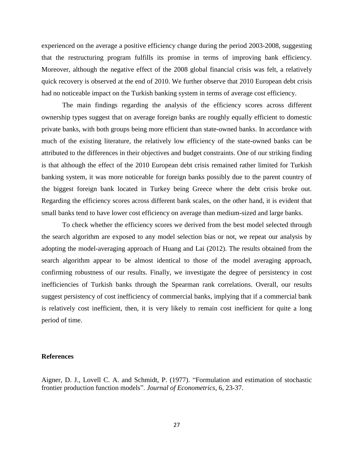experienced on the average a positive efficiency change during the period 2003-2008, suggesting that the restructuring program fulfills its promise in terms of improving bank efficiency. Moreover, although the negative effect of the 2008 global financial crisis was felt, a relatively quick recovery is observed at the end of 2010. We further observe that 2010 European debt crisis had no noticeable impact on the Turkish banking system in terms of average cost efficiency.

The main findings regarding the analysis of the efficiency scores across different ownership types suggest that on average foreign banks are roughly equally efficient to domestic private banks, with both groups being more efficient than state-owned banks. In accordance with much of the existing literature, the relatively low efficiency of the state-owned banks can be attributed to the differences in their objectives and budget constraints. One of our striking finding is that although the effect of the 2010 European debt crisis remained rather limited for Turkish banking system, it was more noticeable for foreign banks possibly due to the parent country of the biggest foreign bank located in Turkey being Greece where the debt crisis broke out. Regarding the efficiency scores across different bank scales, on the other hand, it is evident that small banks tend to have lower cost efficiency on average than medium-sized and large banks.

To check whether the efficiency scores we derived from the best model selected through the search algorithm are exposed to any model selection bias or not, we repeat our analysis by adopting the model-averaging approach of Huang and Lai (2012). The results obtained from the search algorithm appear to be almost identical to those of the model averaging approach, confirming robustness of our results. Finally, we investigate the degree of persistency in cost inefficiencies of Turkish banks through the Spearman rank correlations. Overall, our results suggest persistency of cost inefficiency of commercial banks, implying that if a commercial bank is relatively cost inefficient, then, it is very likely to remain cost inefficient for quite a long period of time.

#### **References**

Aigner, D. J., Lovell C. A. and Schmidt, P. (1977). "Formulation and estimation of stochastic frontier production function models". *Journal of Econometrics*, 6, 23-37.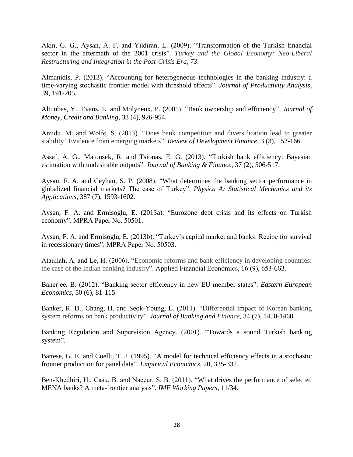Akın, G. G., Aysan, A. F. and Yildiran, L. (2009). "Transformation of the Turkish financial sector in the aftermath of the 2001 crisis". *Turkey and the Global Economy: Neo-Liberal Restructuring and Integration in the Post-Crisis Era*, *73*.

Almanidis, P. (2013). "Accounting for heterogeneous technologies in the banking industry: a time-varying stochastic frontier model with threshold effects". *Journal of Productivity Analysis*, 39, 191-205.

Altunbas, Y., Evans, L. and Molyneux, P. (2001). "Bank ownership and efficiency". *Journal of Money, Credit and Banking*, 33 (4), 926-954.

Amidu, M. and Wolfe, S. (2013). "Does bank competition and diversification lead to greater stability? Evidence from emerging markets". *Review of Development Finance*, 3 (3), 152-166.

Assaf, A. G., Matousek, R. and Tsionas, E. G. (2013). "Turkish bank efficiency: Bayesian estimation with undesirable outputs". *Journal of Banking & Finance*, 37 (2), 506-517.

Aysan, F. A. and Ceyhan, S. P. (2008). "What determines the banking sector performance in globalized financial markets? The case of Turkey". *Physica A: Statistical Mechanics and its Applications*, 387 (7), 1593-1602.

Aysan, F. A. and Ermisoglu, E. (2013a). "Eurozone debt crisis and its effects on Turkish economy". MPRA Paper No. 50501.

Aysan, F. A. and Ermisoglu, E. (2013b). "Turkey's capital market and banks: Recipe for survival in recessionary times". MPRA Paper No. 50503.

Ataullah, A. and Le, H. (2006). "Economic reforms and bank efficiency in developing countries: the case of the Indian banking industry". Applied Financial Economics, 16 (9), 653-663.

Banerjee, B. (2012). "Banking sector efficiency in new EU member states". *Eastern European Economics*, 50 (6), 81-115.

Banker, R. D., Chang, H. and Seok-Young, L. (2011). "Differential impact of Korean banking system reforms on bank productivity". *Journal of Banking and Finance*, 34 (7), 1450-1460.

Banking Regulation and Supervision Agency. (2001). "Towards a sound Turkish banking system".

Battese, G. E. and Coelli, T. J. (1995). "A model for technical efficiency effects in a stochastic frontier production for panel data". *Empirical Economics*, 20, 325-332.

Ben-Khedhiri, H., Casu, B. and Naceur, S. B. (2011). "What drives the performance of selected MENA banks? A meta-frontier analysis". *IMF Working Papers*, 11/34.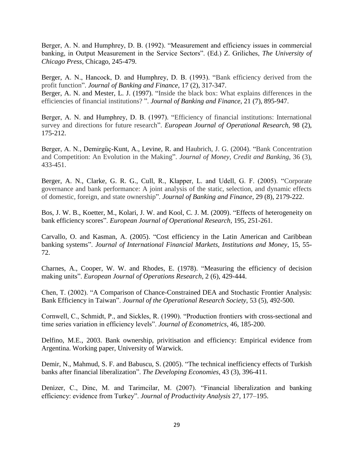Berger, A. N. and Humphrey, D. B. (1992). "Measurement and efficiency issues in commercial banking, in Output Measurement in the Service Sectors". (Ed.) Z. Griliches, *The University of Chicago Press*, Chicago, 245-479.

Berger, A. N., Hancock, D. and Humphrey, D. B. (1993). "Bank efficiency derived from the profit function". *Journal of Banking and Finance*, 17 (2), 317-347. Berger, A. N. and Mester, L. J. (1997). "Inside the black box: What explains differences in the efficiencies of financial institutions? ". *Journal of Banking and Finance*, 21 (7), 895-947.

Berger, A. N. and Humphrey, D. B. (1997). "Efficiency of financial institutions: International survey and directions for future research". *European Journal of Operational Research*, 98 (2), 175-212.

Berger, A. N., Demirgüç-Kunt, A., Levine, R. and Haubrich, J. G. (2004). "Bank Concentration and Competition: An Evolution in the Making". *Journal of Money, Credit and Banking*, 36 (3), 433-451.

Berger, A. N., Clarke, G. R. G., Cull, R., Klapper, L. and Udell, G. F. (2005). "Corporate governance and bank performance: A joint analysis of the static, selection, and dynamic effects of domestic, foreign, and state ownership". *Journal of Banking and Finance*, 29 (8), 2179-222.

Bos, J. W. B., Koetter, M., Kolari, J. W. and Kool, C. J. M. (2009). "Effects of heterogeneity on bank efficiency scores". *European Journal of Operational Research,* 195, 251-261.

Carvallo, O. and Kasman, A. (2005). "Cost efficiency in the Latin American and Caribbean banking systems". *Journal of International Financial Markets, Institutions and Money*, 15, 55- 72.

Charnes, A., Cooper, W. W. and Rhodes, E. (1978). "Measuring the efficiency of decision making units". *European Journal of Operations Research*, 2 (6), 429-444.

Chen, T. (2002). "A Comparison of Chance-Constrained DEA and Stochastic Frontier Analysis: Bank Efficiency in Taiwan". *Journal of the Operational Research Society*, 53 (5), 492-500.

Cornwell, C., Schmidt, P., and Sickles, R. (1990). "Production frontiers with cross-sectional and time series variation in efficiency levels". *Journal of Econometrics*, 46, 185-200.

Delfino, M.E., 2003. Bank ownership, privitisation and efficiency: Empirical evidence from Argentina. Working paper, University of Warwick.

Demir, N., Mahmud, S. F. and Babuscu, S. (2005). "The technical inefficiency effects of Turkish banks after financial liberalization". *The Developing Economies*, 43 (3), 396-411.

Denizer, C., Dinc, M. and Tarimcilar, M. (2007). "Financial liberalization and banking efficiency: evidence from Turkey". *Journal of Productivity Analysis* 27, 177–195.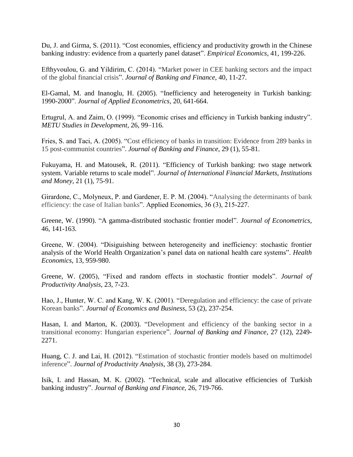Du, J. and Girma, S. (2011). "Cost economies, efficiency and productivity growth in the Chinese banking industry: evidence from a quarterly panel dataset". *Empirical Economics*, 41, 199-226.

Efthyvoulou, G. and Yildirim, C. (2014). "Market power in CEE banking sectors and the impact of the global financial crisis". *Journal of Banking and Finance*, 40, 11-27.

El-Gamal, M. and Inanoglu, H. (2005). "Inefficiency and heterogeneity in Turkish banking: 1990-2000". *Journal of Applied Econometrics*, 20, 641-664.

Ertugrul, A. and Zaim, O. (1999). "Economic crises and efficiency in Turkish banking industry". *METU Studies in Development*, 26, 99–116.

Fries, S. and Taci, A. (2005). "Cost efficiency of banks in transition: Evidence from 289 banks in 15 post-communist countries". *Journal of Banking and Finance*, 29 (1), 55-81.

Fukuyama, H. and Matousek, R. (2011). "Efficiency of Turkish banking: two stage network system. Variable returns to scale model". *Journal of International Financial Markets, Institutions and Money*, 21 (1), 75-91.

Girardone, C., Molyneux, P. and Gardener, E. P. M. (2004). "Analysing the determinants of bank efficiency: the case of Italian banks". Applied Economics, 36 (3), 215-227.

Greene, W. (1990). "A gamma-distributed stochastic frontier model". *Journal of Econometrics*, 46, 141-163.

Greene, W. (2004). "Disiguishing between heterogeneity and inefficiency: stochastic frontier analysis of the World Health Organization's panel data on national health care systems". *Health Economics*, 13, 959-980.

Greene, W. (2005), "Fixed and random effects in stochastic frontier models". *Journal of Productivity Analysis*, 23, 7-23.

Hao, J., Hunter, W. C. and Kang, W. K. (2001). "Deregulation and efficiency: the case of private Korean banks". *Journal of Economics and Business*, 53 (2), 237-254.

Hasan, I. and Marton, K. (2003). "Development and efficiency of the banking sector in a transitional economy: Hungarian experience". *Journal of Banking and Finance*, 27 (12), 2249- 2271.

Huang, C. J. and Lai, H. (2012). "Estimation of stochastic frontier models based on multimodel inference". *Journal of Productivity Analysis*, 38 (3), 273-284.

Isik, I. and Hassan, M. K. (2002). "Technical, scale and allocative efficiencies of Turkish banking industry". *Journal of Banking and Finance*, 26, 719-766.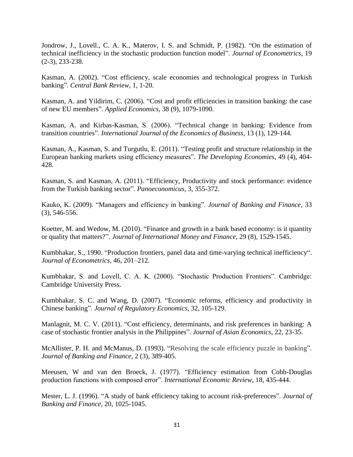Jondrow, J., Lovell., C. A. K., Materov, I. S. and Schmidt, P. (1982). "On the estimation of technical inefficiency in the stochastic production function model". *Journal of Econometrics*, 19 (2-3), 233-238.

Kasman, A. (2002). "Cost efficiency, scale economies and technological progress in Turkish banking". *Central Bank Review*, 1, 1-20.

Kasman, A. and Yildirim, C. (2006). "Cost and profit efficiencies in transition banking: the case of new EU members". *Applied Economics*, 38 (9), 1079-1090.

Kasman, A. and Kirbas-Kasman, S. (2006). "Technical change in banking: Evidence from transition countries". *International Journal of the Economics of Business*, 13 (1), 129-144.

Kasman, A., Kasman, S. and Turgutlu, E. (2011). "Testing profit and structure relationship in the European banking markets using efficiency measures". *The Developing Economies*, 49 (4), 404- 428.

Kasman, S. and Kasman, A. (2011). "Efficiency, Productivity and stock performance: evidence from the Turkish banking sector". *Panoeconomicus,* 3, 355-372.

Kauko, K. (2009). "Managers and efficiency in banking". *Journal of Banking and Finance*, 33 (3), 546-556.

Koetter, M. and Wedow, M. (2010). "Finance and growth in a bank based economy: is it quantity or quality that matters?". *Journal of International Money and Finance*, 29 (8), 1529-1545.

Kumbhakar, S., 1990. "Production frontiers, panel data and time-varying technical inefficiency". *Journal of Econometrics*, 46, 201–212.

Kumbhakar, S. and Lovell, C. A. K. (2000). "Stochastic Production Frontiers". Cambridge: Cambridge University Press.

Kumbhakar, S. C. and Wang, D. (2007). "Economic reforms, efficiency and productivity in Chinese banking". *Journal of Regulatory Economics*, 32, 105-129.

Manlagnit, M. C. V. (2011). "Cost efficiency, determinants, and risk preferences in banking: A case of stochastic frontier analysis in the Philippines". *Journal of Asian Economics*, 22, 23-35.

McAllister, P. H. and McManus, D. (1993). "Resolving the scale efficiency puzzle in banking". *Journal of Banking and Finance*, 2 (3), 389-405.

Meeusen, W and van den Broeck, J. (1977). "Efficiency estimation from Cobb-Douglas production functions with composed error". *International Economic Review*, 18, 435-444.

Mester, L. J. (1996). "A study of bank efficiency taking to account risk-preferences". *Journal of Banking and Finance*, 20, 1025-1045.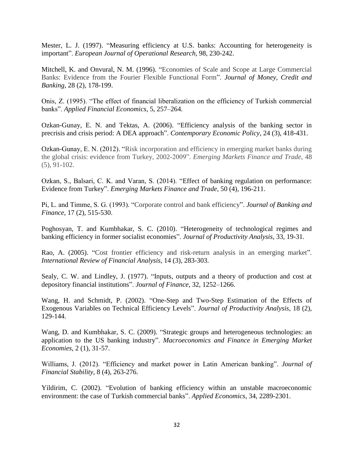Mester, L. J. (1997). "Measuring efficiency at U.S. banks: Accounting for heterogeneity is important". *European Journal of Operational Research*, 98, 230-242.

Mitchell, K. and Onvural, N. M. (1996). "Economies of Scale and Scope at Large Commercial Banks: Evidence from the Fourier Flexible Functional Form". *Journal of Money, Credit and Banking*, 28 (2), 178-199.

Onis, Z. (1995). "The effect of financial liberalization on the efficiency of Turkish commercial banks". *Applied Financial Economics*, 5, 257–264.

Ozkan-Gunay, E. N. and Tektas, A. (2006). "Efficiency analysis of the banking sector in precrisis and crisis period: A DEA approach". *Contemporary Economic Policy*, 24 (3), 418-431.

Ozkan-Gunay, E. N. (2012). "Risk incorporation and efficiency in emerging market banks during the global crisis: evidence from Turkey, 2002-2009". *Emerging Markets Finance and Trade*, 48 (5), 91-102.

Ozkan, S., Balsari, C. K. and Varan, S. (2014). "Effect of banking regulation on performance: Evidence from Turkey". *Emerging Markets Finance and Trade*, 50 (4), 196-211.

Pi, L. and Timme, S. G. (1993). "Corporate control and bank efficiency". *Journal of Banking and Finance*, 17 (2), 515-530.

Poghosyan, T. and Kumbhakar, S. C. (2010). "Heterogeneity of technological regimes and banking efficiency in former socialist economies". *Journal of Productivity Analysis*, 33, 19-31.

Rao, A. (2005). "Cost frontier efficiency and risk-return analysis in an emerging market". *International Review of Financial Analysis*, 14 (3), 283-303.

Sealy, C. W. and Lindley, J. (1977). "Inputs, outputs and a theory of production and cost at depository financial institutions". *Journal of Finance*, 32, 1252–1266.

Wang, H. and Schmidt, P. (2002). "One-Step and Two-Step Estimation of the Effects of Exogenous Variables on Technical Efficiency Levels". *Journal of Productivity Analysis*, 18 (2), 129-144.

Wang, D. and Kumbhakar, S. C. (2009). "Strategic groups and heterogeneous technologies: an application to the US banking industry". *Macroeconomics and Finance in Emerging Market Economies*, 2 (1), 31-57.

Williams, J. (2012). "Efficiency and market power in Latin American banking". *Journal of Financial Stability*, 8 (4), 263-276.

Yildirim, C. (2002). "Evolution of banking efficiency within an unstable macroeconomic environment: the case of Turkish commercial banks". *Applied Economics*, 34, 2289-2301.